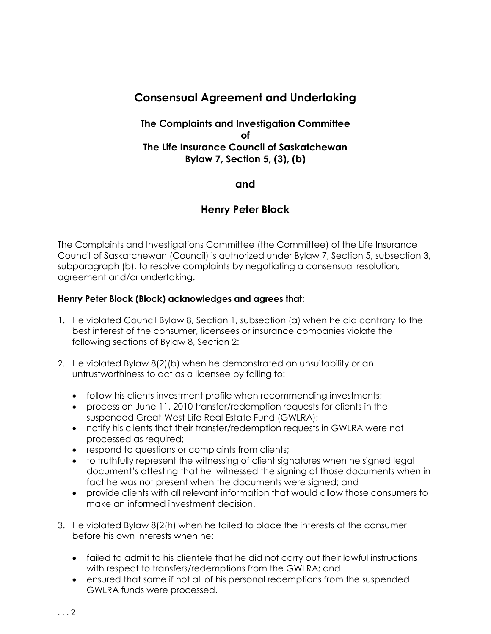# **Consensual Agreement and Undertaking**

## **The Complaints and Investigation Committee of The Life Insurance Council of Saskatchewan Bylaw 7, Section 5, (3), (b)**

### **and**

## **Henry Peter Block**

The Complaints and Investigations Committee (the Committee) of the Life Insurance Council of Saskatchewan (Council) is authorized under Bylaw 7, Section 5, subsection 3, subparagraph (b), to resolve complaints by negotiating a consensual resolution, agreement and/or undertaking.

#### **Henry Peter Block (Block) acknowledges and agrees that:**

- 1. He violated Council Bylaw 8, Section 1, subsection (a) when he did contrary to the best interest of the consumer, licensees or insurance companies violate the following sections of Bylaw 8, Section 2:
- 2. He violated Bylaw 8(2)(b) when he demonstrated an unsuitability or an untrustworthiness to act as a licensee by failing to:
	- follow his clients investment profile when recommending investments;
	- process on June 11, 2010 transfer/redemption requests for clients in the suspended Great-West Life Real Estate Fund (GWLRA);
	- notify his clients that their transfer/redemption requests in GWLRA were not processed as required;
	- respond to questions or complaints from clients;
	- to truthfully represent the witnessing of client signatures when he signed legal document's attesting that he witnessed the signing of those documents when in fact he was not present when the documents were signed; and
	- provide clients with all relevant information that would allow those consumers to make an informed investment decision.
- 3. He violated Bylaw 8(2(h) when he failed to place the interests of the consumer before his own interests when he:
	- failed to admit to his clientele that he did not carry out their lawful instructions with respect to transfers/redemptions from the GWLRA; and
	- ensured that some if not all of his personal redemptions from the suspended GWLRA funds were processed.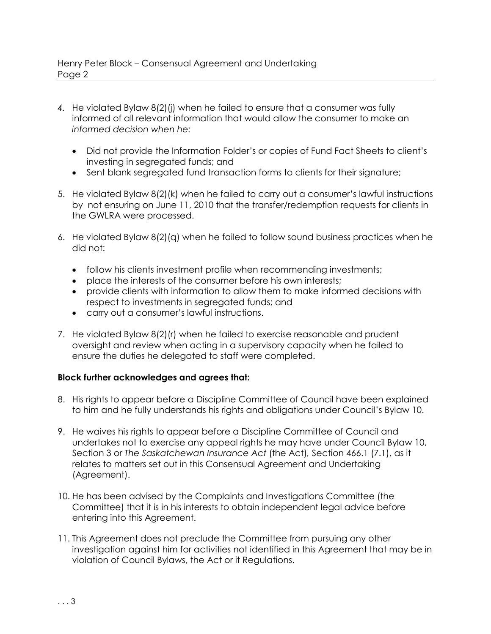- *4.* He violated Bylaw 8(2)(j) when he failed to ensure that a consumer was fully informed of all relevant information that would allow the consumer to make an *informed decision when he:*
	- Did not provide the Information Folder's or copies of Fund Fact Sheets to client's investing in segregated funds; and
	- Sent blank segregated fund transaction forms to clients for their signature;
- 5. He violated Bylaw 8(2)(k) when he failed to carry out a consumer's lawful instructions by not ensuring on June 11, 2010 that the transfer/redemption requests for clients in the GWLRA were processed.
- 6. He violated Bylaw 8(2)(q) when he failed to follow sound business practices when he did not:
	- follow his clients investment profile when recommending investments;
	- place the interests of the consumer before his own interests;
	- provide clients with information to allow them to make informed decisions with respect to investments in segregated funds; and
	- carry out a consumer's lawful instructions.
- 7. He violated Bylaw 8(2)(r) when he failed to exercise reasonable and prudent oversight and review when acting in a supervisory capacity when he failed to ensure the duties he delegated to staff were completed.

#### **Block further acknowledges and agrees that:**

- 8. His rights to appear before a Discipline Committee of Council have been explained to him and he fully understands his rights and obligations under Council's Bylaw 10.
- 9. He waives his rights to appear before a Discipline Committee of Council and undertakes not to exercise any appeal rights he may have under Council Bylaw 10, Section 3 or *The Saskatchewan Insurance Act* (the Act)*,* Section 466.1 (7.1), as it relates to matters set out in this Consensual Agreement and Undertaking (Agreement).
- 10. He has been advised by the Complaints and Investigations Committee (the Committee) that it is in his interests to obtain independent legal advice before entering into this Agreement.
- 11. This Agreement does not preclude the Committee from pursuing any other investigation against him for activities not identified in this Agreement that may be in violation of Council Bylaws, the Act or it Regulations.